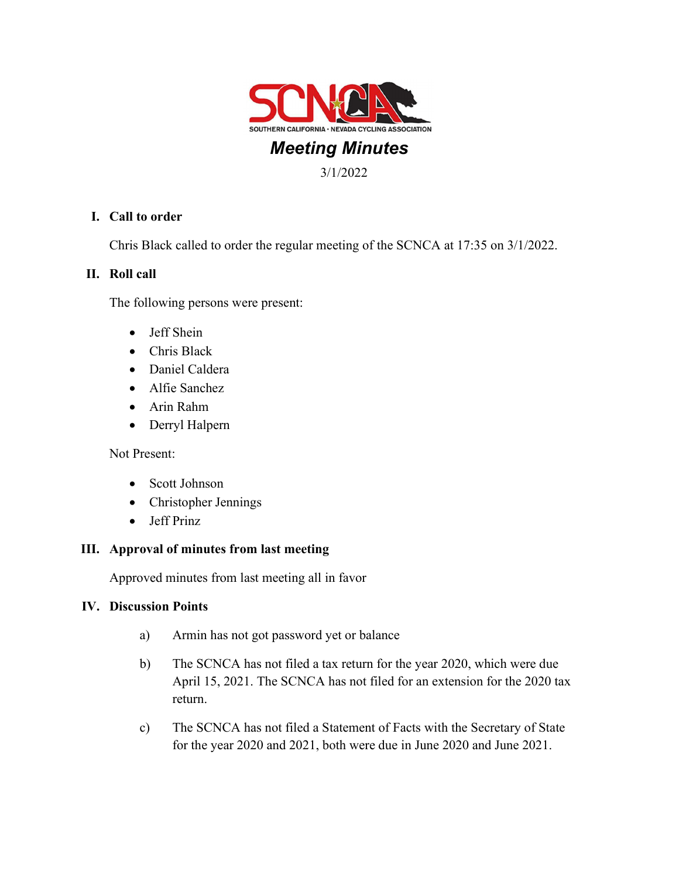

# Meeting Minutes

3/1/2022

## I. Call to order

Chris Black called to order the regular meeting of the SCNCA at 17:35 on 3/1/2022.

### II. Roll call

The following persons were present:

- Jeff Shein
- Chris Black
- Daniel Caldera
- Alfie Sanchez
- Arin Rahm
- Derryl Halpern

Not Present:

- Scott Johnson
- Christopher Jennings
- Jeff Prinz

#### III. Approval of minutes from last meeting

Approved minutes from last meeting all in favor

#### IV. Discussion Points

- a) Armin has not got password yet or balance
- b) The SCNCA has not filed a tax return for the year 2020, which were due April 15, 2021. The SCNCA has not filed for an extension for the 2020 tax return.
- c) The SCNCA has not filed a Statement of Facts with the Secretary of State for the year 2020 and 2021, both were due in June 2020 and June 2021.